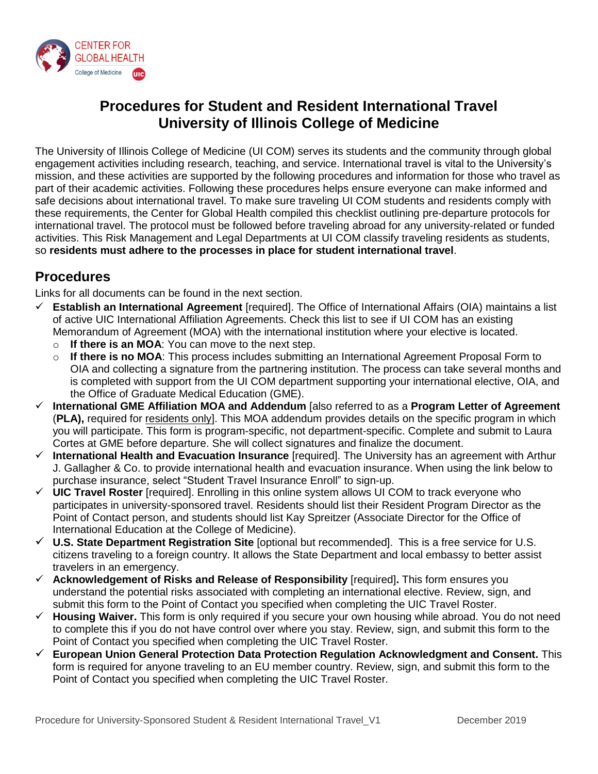

# **Procedures for Student and Resident International Travel University of Illinois College of Medicine**

The University of Illinois College of Medicine (UI COM) serves its students and the community through global engagement activities including research, teaching, and service. International travel is vital to the University's mission, and these activities are supported by the following procedures and information for those who travel as part of their academic activities. Following these procedures helps ensure everyone can make informed and safe decisions about international travel. To make sure traveling UI COM students and residents comply with these requirements, the Center for Global Health compiled this checklist outlining pre-departure protocols for international travel. The protocol must be followed before traveling abroad for any university-related or funded activities. This Risk Management and Legal Departments at UI COM classify traveling residents as students, so **residents must adhere to the processes in place for student international travel**.

## **Procedures**

Links for all documents can be found in the next section.

- **Establish an International Agreement** [required]. The Office of International Affairs (OIA) maintains a list of active UIC International Affiliation Agreements. Check this list to see if UI COM has an existing Memorandum of Agreement (MOA) with the international institution where your elective is located.
	- o **If there is an MOA**: You can move to the next step.
	- o **If there is no MOA**: This process includes submitting an International Agreement Proposal Form to OIA and collecting a signature from the partnering institution. The process can take several months and is completed with support from the UI COM department supporting your international elective, OIA, and the Office of Graduate Medical Education (GME).
- **International GME Affiliation MOA and Addendum** [also referred to as a **Program Letter of Agreement** (**PLA),** required for residents only]. This MOA addendum provides details on the specific program in which you will participate. This form is program-specific, not department-specific. Complete and submit to Laura Cortes at GME before departure. She will collect signatures and finalize the document.
- **International Health and Evacuation Insurance** [required]. The University has an agreement with Arthur J. Gallagher & Co. to provide international health and evacuation insurance. When using the link below to purchase insurance, select "Student Travel Insurance Enroll" to sign-up.
- **UIC Travel Roster** [required]. Enrolling in this online system allows UI COM to track everyone who participates in university-sponsored travel. Residents should list their Resident Program Director as the Point of Contact person, and students should list Kay Spreitzer (Associate Director for the Office of International Education at the College of Medicine).
- **U.S. State Department Registration Site** [optional but recommended]. This is a free service for U.S. citizens traveling to a foreign country. It allows the State Department and local embassy to better assist travelers in an emergency.
- **Acknowledgement of Risks and Release of Responsibility** [required]**.** This form ensures you understand the potential risks associated with completing an international elective. Review, sign, and submit this form to the Point of Contact you specified when completing the UIC Travel Roster.
- **Housing Waiver.** This form is only required if you secure your own housing while abroad. You do not need to complete this if you do not have control over where you stay. Review, sign, and submit this form to the Point of Contact you specified when completing the UIC Travel Roster.
- **European Union General Protection Data Protection Regulation Acknowledgment and Consent.** This form is required for anyone traveling to an EU member country. Review, sign, and submit this form to the Point of Contact you specified when completing the UIC Travel Roster.